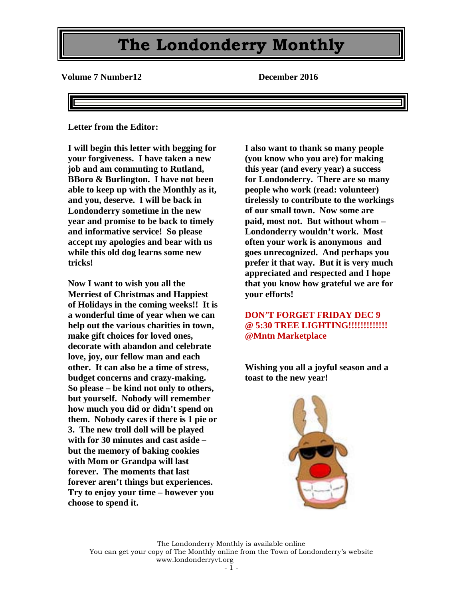**Volume 7 Number12 December 2016**

**Letter from the Editor:**

**I will begin this letter with begging for your forgiveness. I have taken a new job and am commuting to Rutland, BBoro & Burlington. I have not been able to keep up with the Monthly as it, and you, deserve. I will be back in Londonderry sometime in the new year and promise to be back to timely and informative service! So please accept my apologies and bear with us while this old dog learns some new tricks!**

**Now I want to wish you all the Merriest of Christmas and Happiest of Holidays in the coming weeks!! It is a wonderful time of year when we can help out the various charities in town, make gift choices for loved ones, decorate with abandon and celebrate love, joy, our fellow man and each other. It can also be a time of stress, budget concerns and crazy-making. So please – be kind not only to others, but yourself. Nobody will remember how much you did or didn't spend on them. Nobody cares if there is 1 pie or 3. The new troll doll will be played with for 30 minutes and cast aside – but the memory of baking cookies with Mom or Grandpa will last forever. The moments that last forever aren't things but experiences. Try to enjoy your time – however you choose to spend it.**

**I also want to thank so many people (you know who you are) for making this year (and every year) a success for Londonderry. There are so many people who work (read: volunteer) tirelessly to contribute to the workings of our small town. Now some are paid, most not. But without whom – Londonderry wouldn't work. Most often your work is anonymous and goes unrecognized. And perhaps you prefer it that way. But it is very much appreciated and respected and I hope that you know how grateful we are for your efforts!**

#### **DON'T FORGET FRIDAY DEC 9 @ 5:30 TREE LIGHTING!!!!!!!!!!!!! @Mntn Marketplace**

**Wishing you all a joyful season and a toast to the new year!**

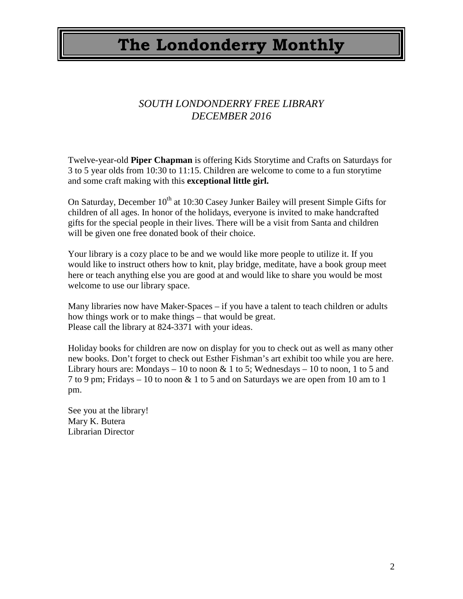### *SOUTH LONDONDERRY FREE LIBRARY DECEMBER 2016*

Twelve-year-old **Piper Chapman** is offering Kids Storytime and Crafts on Saturdays for 3 to 5 year olds from 10:30 to 11:15. Children are welcome to come to a fun storytime and some craft making with this **exceptional little girl.**

On Saturday, December  $10<sup>th</sup>$  at 10:30 Casey Junker Bailey will present Simple Gifts for children of all ages. In honor of the holidays, everyone is invited to make handcrafted gifts for the special people in their lives. There will be a visit from Santa and children will be given one free donated book of their choice.

Your library is a cozy place to be and we would like more people to utilize it. If you would like to instruct others how to knit, play bridge, meditate, have a book group meet here or teach anything else you are good at and would like to share you would be most welcome to use our library space.

Many libraries now have Maker-Spaces – if you have a talent to teach children or adults how things work or to make things – that would be great. Please call the library at 824-3371 with your ideas.

Holiday books for children are now on display for you to check out as well as many other new books. Don't forget to check out Esther Fishman's art exhibit too while you are here. Library hours are: Mondays  $-10$  to noon  $\& 1$  to 5; Wednesdays  $-10$  to noon, 1 to 5 and 7 to 9 pm; Fridays – 10 to noon  $& 1$  to 5 and on Saturdays we are open from 10 am to 1 pm.

See you at the library! Mary K. Butera Librarian Director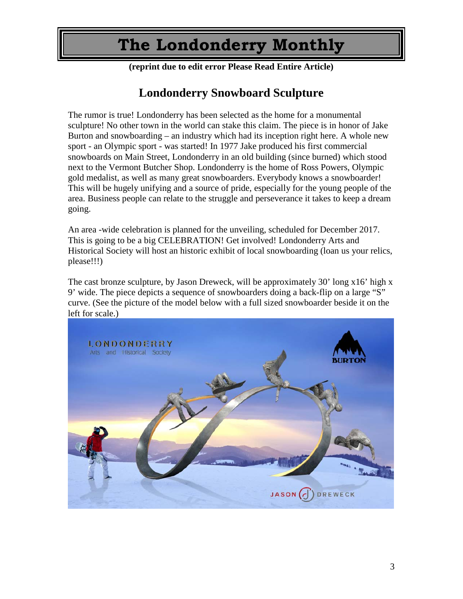**(reprint due to edit error Please Read Entire Article)**

### **Londonderry Snowboard Sculpture**

The rumor is true! Londonderry has been selected as the home for a monumental sculpture! No other town in the world can stake this claim. The piece is in honor of Jake Burton and snowboarding – an industry which had its inception right here. A whole new sport - an Olympic sport - was started! In 1977 Jake produced his first commercial snowboards on Main Street, Londonderry in an old building (since burned) which stood next to the Vermont Butcher Shop. Londonderry is the home of Ross Powers, Olympic gold medalist, as well as many great snowboarders. Everybody knows a snowboarder! This will be hugely unifying and a source of pride, especially for the young people of the area. Business people can relate to the struggle and perseverance it takes to keep a dream going.

An area -wide celebration is planned for the unveiling, scheduled for December 2017. This is going to be a big CELEBRATION! Get involved! Londonderry Arts and Historical Society will host an historic exhibit of local snowboarding (loan us your relics, please!!!)

The cast bronze sculpture, by Jason Dreweck, will be approximately 30' long x16' high x 9' wide. The piece depicts a sequence of snowboarders doing a back-flip on a large "S" curve. (See the picture of the model below with a full sized snowboarder beside it on the left for scale.)

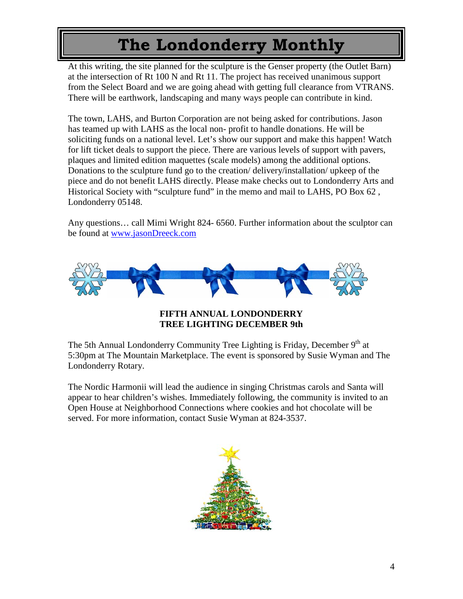At this writing, the site planned for the sculpture is the Genser property (the Outlet Barn) at the intersection of Rt 100 N and Rt 11. The project has received unanimous support from the Select Board and we are going ahead with getting full clearance from VTRANS. There will be earthwork, landscaping and many ways people can contribute in kind.

The town, LAHS, and Burton Corporation are not being asked for contributions. Jason has teamed up with LAHS as the local non- profit to handle donations. He will be soliciting funds on a national level. Let's show our support and make this happen! Watch for lift ticket deals to support the piece. There are various levels of support with pavers, plaques and limited edition maquettes (scale models) among the additional options. Donations to the sculpture fund go to the creation/ delivery/installation/ upkeep of the piece and do not benefit LAHS directly. Please make checks out to Londonderry Arts and Historical Society with "sculpture fund" in the memo and mail to LAHS, PO Box 62 , Londonderry 05148.

Any questions… call Mimi Wright 824- 6560. Further information about the sculptor can be found at [www.jasonDreeck.com](http://www.jasondreeck.com/)



#### **FIFTH ANNUAL LONDONDERRY TREE LIGHTING DECEMBER 9th**

The 5th Annual Londonderry Community Tree Lighting is Friday, December 9<sup>th</sup> at 5:30pm at The Mountain Marketplace. The event is sponsored by Susie Wyman and The Londonderry Rotary.

The Nordic Harmonii will lead the audience in singing Christmas carols and Santa will appear to hear children's wishes. Immediately following, the community is invited to an Open House at Neighborhood Connections where cookies and hot chocolate will be served. For more information, contact Susie Wyman at 824-3537.

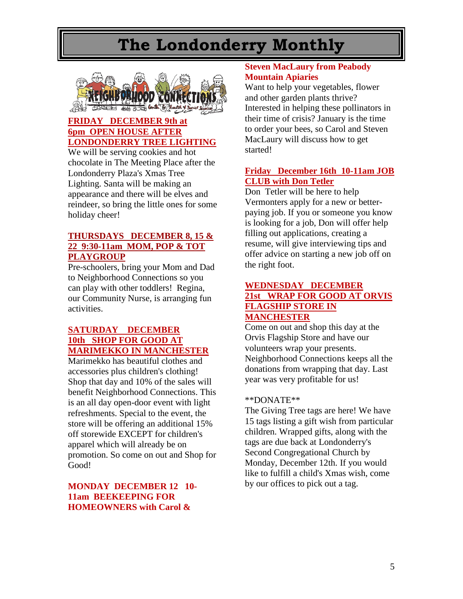

### **FRIDAY DECEMBER 9th at 6pm OPEN HOUSE AFTER LONDONDERRY TREE LIGHTING**

We will be serving cookies and hot chocolate in The Meeting Place after the Londonderry Plaza's Xmas Tree Lighting. Santa will be making an appearance and there will be elves and reindeer, so bring the little ones for some holiday cheer!

### **THURSDAYS DECEMBER 8, 15 & 22 9:30-11am MOM, POP & TOT PLAYGROUP**

Pre-schoolers, bring your Mom and Dad to Neighborhood Connections so you can play with other toddlers! Regina, our Community Nurse, is arranging fun activities.

### **SATURDAY DECEMBER 10th SHOP FOR GOOD AT MARIMEKKO IN MANCHESTER**

Marimekko has beautiful clothes and accessories plus children's clothing! Shop that day and 10% of the sales will benefit Neighborhood Connections. This is an all day open-door event with light refreshments. Special to the event, the store will be offering an additional 15% off storewide EXCEPT for children's apparel which will already be on promotion. So come on out and Shop for Good!

### **MONDAY DECEMBER 12 10- 11am BEEKEEPING FOR HOMEOWNERS with Carol &**

#### **Steven MacLaury from Peabody Mountain Apiaries**

Want to help your vegetables, flower and other garden plants thrive? Interested in helping these pollinators in their time of crisis? January is the time to order your bees, so Carol and Steven MacLaury will discuss how to get started!

### **Friday December 16th 10-11am JOB CLUB with Don Tetler**

Don Tetler will be here to help Vermonters apply for a new or betterpaying job. If you or someone you know is looking for a job, Don will offer help filling out applications, creating a resume, will give interviewing tips and offer advice on starting a new job off on the right foot.

#### **WEDNESDAY DECEMBER 21st WRAP FOR GOOD AT ORVIS FLAGSHIP STORE IN MANCHESTER**

Come on out and shop this day at the Orvis Flagship Store and have our volunteers wrap your presents. Neighborhood Connections keeps all the donations from wrapping that day. Last year was very profitable for us!

#### \*\*DONATE\*\*

The Giving Tree tags are here! We have 15 tags listing a gift wish from particular children. Wrapped gifts, along with the tags are due back at Londonderry's Second Congregational Church by Monday, December 12th. If you would like to fulfill a child's Xmas wish, come by our offices to pick out a tag.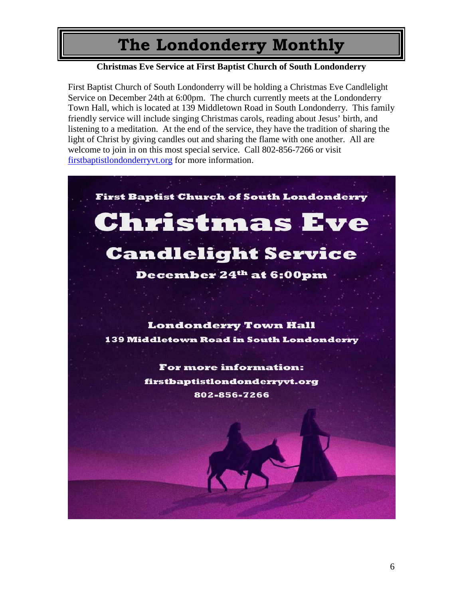### **Christmas Eve Service at First Baptist Church of South Londonderry**

First Baptist Church of South Londonderry will be holding a Christmas Eve Candlelight Service on December 24th at 6:00pm. The church currently meets at the Londonderry Town Hall, which is located at 139 Middletown Road in South Londonderry. This family friendly service will include singing Christmas carols, reading about Jesus' birth, and listening to a meditation. At the end of the service, they have the tradition of sharing the light of Christ by giving candles out and sharing the flame with one another. All are welcome to join in on this most special service. Call 802-856-7266 or visit [firstbaptistlondonderryvt.org](http://firstbaptistlondonderryvt.org/) for more information.

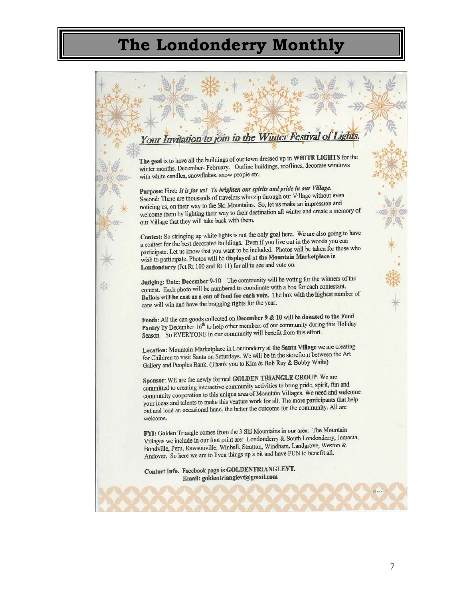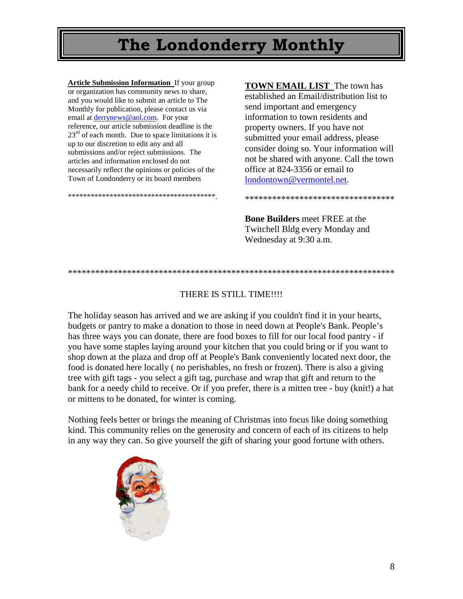**Article Submission Information** If your group or organization has community news to share, and you would like to submit an article to The Monthly for publication, please contact us via email at [derrynews@aol.com.](mailto:derrynews@aol.com) For your reference, our article submission deadline is the  $23<sup>rd</sup>$  of each month. Due to space limitations it is up to our discretion to edit any and all submissions and/or reject submissions. The articles and information enclosed do not necessarily reflect the opinions or policies of the Town of Londonderry or its board members

\*\*\*\*\*\*\*\*\*\*\*\*\*\*\*\*\*\*\*\*\*\*\*\*\*\*\*\*\*\*\*\*\*\*\*\*\*\*\*.

**TOWN EMAIL LIST** The town has established an Email/distribution list to send important and emergency information to town residents and property owners. If you have not submitted your email address, please consider doing so. Your information will not be shared with anyone. Call the town office at 824-3356 or email to [londontown@vermontel.net.](mailto:londontown@vermontel.net)

\*\*\*\*\*\*\*\*\*\*\*\*\*\*\*\*\*\*\*\*\*\*\*\*\*\*\*\*\*\*\*\*\*

**Bone Builders** meet FREE at the Twitchell Bldg every Monday and Wednesday at 9:30 a.m.

#### \*\*\*\*\*\*\*\*\*\*\*\*\*\*\*\*\*\*\*\*\*\*\*\*\*\*\*\*\*\*\*\*\*\*\*\*\*\*\*\*\*\*\*\*\*\*\*\*\*\*\*\*\*\*\*\*\*\*\*\*\*\*\*\*\*\*\*\*\*\*\*\*

#### THERE IS STILL TIME!!!!

The holiday season has arrived and we are asking if you couldn't find it in your hearts, budgets or pantry to make a donation to those in need down at People's Bank. People's has three ways you can donate, there are food boxes to fill for our local food pantry - if you have some staples laying around your kitchen that you could bring or if you want to shop down at the plaza and drop off at People's Bank conveniently located next door, the food is donated here locally ( no perishables, no fresh or frozen). There is also a giving tree with gift tags - you select a gift tag, purchase and wrap that gift and return to the bank for a needy child to receive. Or if you prefer, there is a mitten tree - buy (knit!) a hat or mittens to be donated, for winter is coming.

Nothing feels better or brings the meaning of Christmas into focus like doing something kind. This community relies on the generosity and concern of each of its citizens to help in any way they can. So give yourself the gift of sharing your good fortune with others.